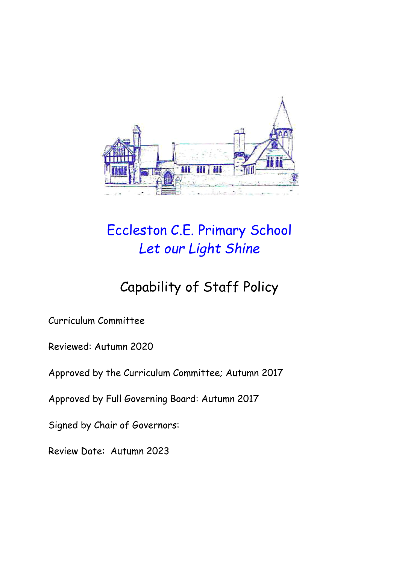

# Eccleston C.E. Primary School *Let our Light Shine*

# Capability of Staff Policy

Curriculum Committee

Reviewed: Autumn 2020

Approved by the Curriculum Committee; Autumn 2017

Approved by Full Governing Board: Autumn 2017

Signed by Chair of Governors:

Review Date: Autumn 2023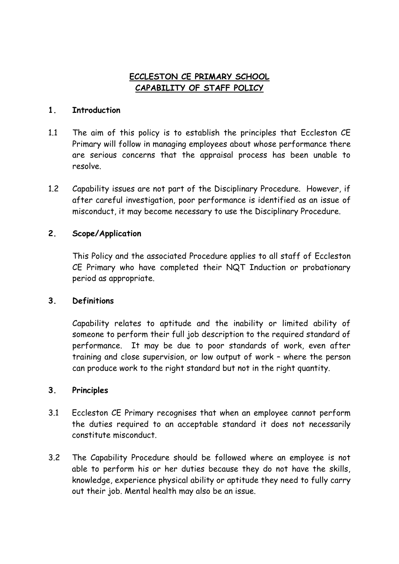## **ECCLESTON CE PRIMARY SCHOOL CAPABILITY OF STAFF POLICY**

#### **1. Introduction**

- 1.1 The aim of this policy is to establish the principles that Eccleston CE Primary will follow in managing employees about whose performance there are serious concerns that the appraisal process has been unable to resolve.
- 1.2 Capability issues are not part of the Disciplinary Procedure. However, if after careful investigation, poor performance is identified as an issue of misconduct, it may become necessary to use the Disciplinary Procedure.

### **2. Scope/Application**

This Policy and the associated Procedure applies to all staff of Eccleston CE Primary who have completed their NQT Induction or probationary period as appropriate.

### **3. Definitions**

Capability relates to aptitude and the inability or limited ability of someone to perform their full job description to the required standard of performance. It may be due to poor standards of work, even after training and close supervision, or low output of work – where the person can produce work to the right standard but not in the right quantity.

### **3. Principles**

- 3.1 Eccleston CE Primary recognises that when an employee cannot perform the duties required to an acceptable standard it does not necessarily constitute misconduct.
- 3.2 The Capability Procedure should be followed where an employee is not able to perform his or her duties because they do not have the skills, knowledge, experience physical ability or aptitude they need to fully carry out their job. Mental health may also be an issue.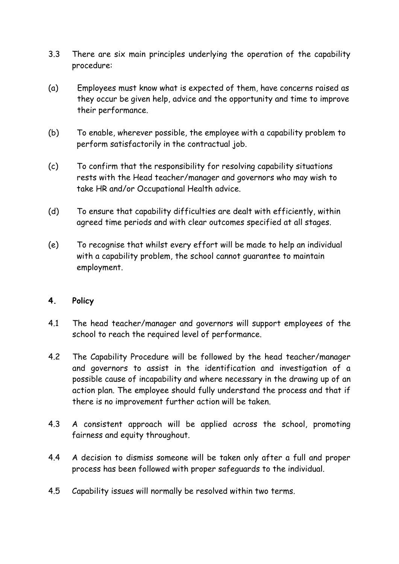- 3.3 There are six main principles underlying the operation of the capability procedure:
- (a) Employees must know what is expected of them, have concerns raised as they occur be given help, advice and the opportunity and time to improve their performance.
- (b) To enable, wherever possible, the employee with a capability problem to perform satisfactorily in the contractual job.
- (c) To confirm that the responsibility for resolving capability situations rests with the Head teacher/manager and governors who may wish to take HR and/or Occupational Health advice.
- (d) To ensure that capability difficulties are dealt with efficiently, within agreed time periods and with clear outcomes specified at all stages.
- (e) To recognise that whilst every effort will be made to help an individual with a capability problem, the school cannot guarantee to maintain employment.

#### **4. Policy**

- 4.1 The head teacher/manager and governors will support employees of the school to reach the required level of performance.
- 4.2 The Capability Procedure will be followed by the head teacher/manager and governors to assist in the identification and investigation of a possible cause of incapability and where necessary in the drawing up of an action plan. The employee should fully understand the process and that if there is no improvement further action will be taken.
- 4.3 A consistent approach will be applied across the school, promoting fairness and equity throughout.
- 4.4 A decision to dismiss someone will be taken only after a full and proper process has been followed with proper safeguards to the individual.
- 4.5 Capability issues will normally be resolved within two terms.